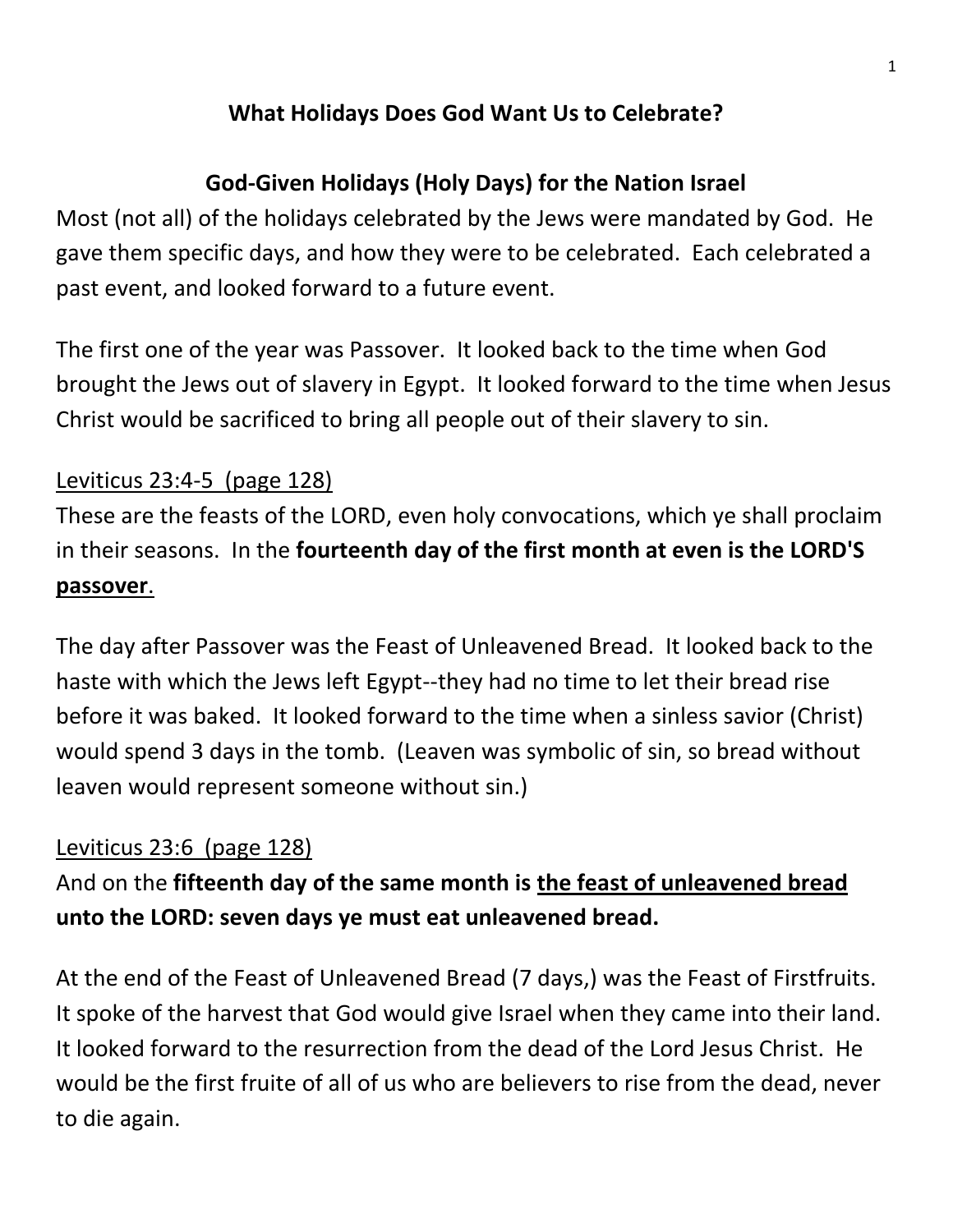## **What Holidays Does God Want Us to Celebrate?**

# **God-Given Holidays (Holy Days) for the Nation Israel**

Most (not all) of the holidays celebrated by the Jews were mandated by God. He gave them specific days, and how they were to be celebrated. Each celebrated a past event, and looked forward to a future event.

The first one of the year was Passover. It looked back to the time when God brought the Jews out of slavery in Egypt. It looked forward to the time when Jesus Christ would be sacrificed to bring all people out of their slavery to sin.

### Leviticus 23:4-5 (page 128)

These are the feasts of the LORD, even holy convocations, which ye shall proclaim in their seasons. In the **fourteenth day of the first month at even is the LORD'S passover**.

The day after Passover was the Feast of Unleavened Bread. It looked back to the haste with which the Jews left Egypt--they had no time to let their bread rise before it was baked. It looked forward to the time when a sinless savior (Christ) would spend 3 days in the tomb. (Leaven was symbolic of sin, so bread without leaven would represent someone without sin.)

# Leviticus 23:6 (page 128)

# And on the **fifteenth day of the same month is the feast of unleavened bread unto the LORD: seven days ye must eat unleavened bread.**

At the end of the Feast of Unleavened Bread (7 days,) was the Feast of Firstfruits. It spoke of the harvest that God would give Israel when they came into their land. It looked forward to the resurrection from the dead of the Lord Jesus Christ. He would be the first fruite of all of us who are believers to rise from the dead, never to die again.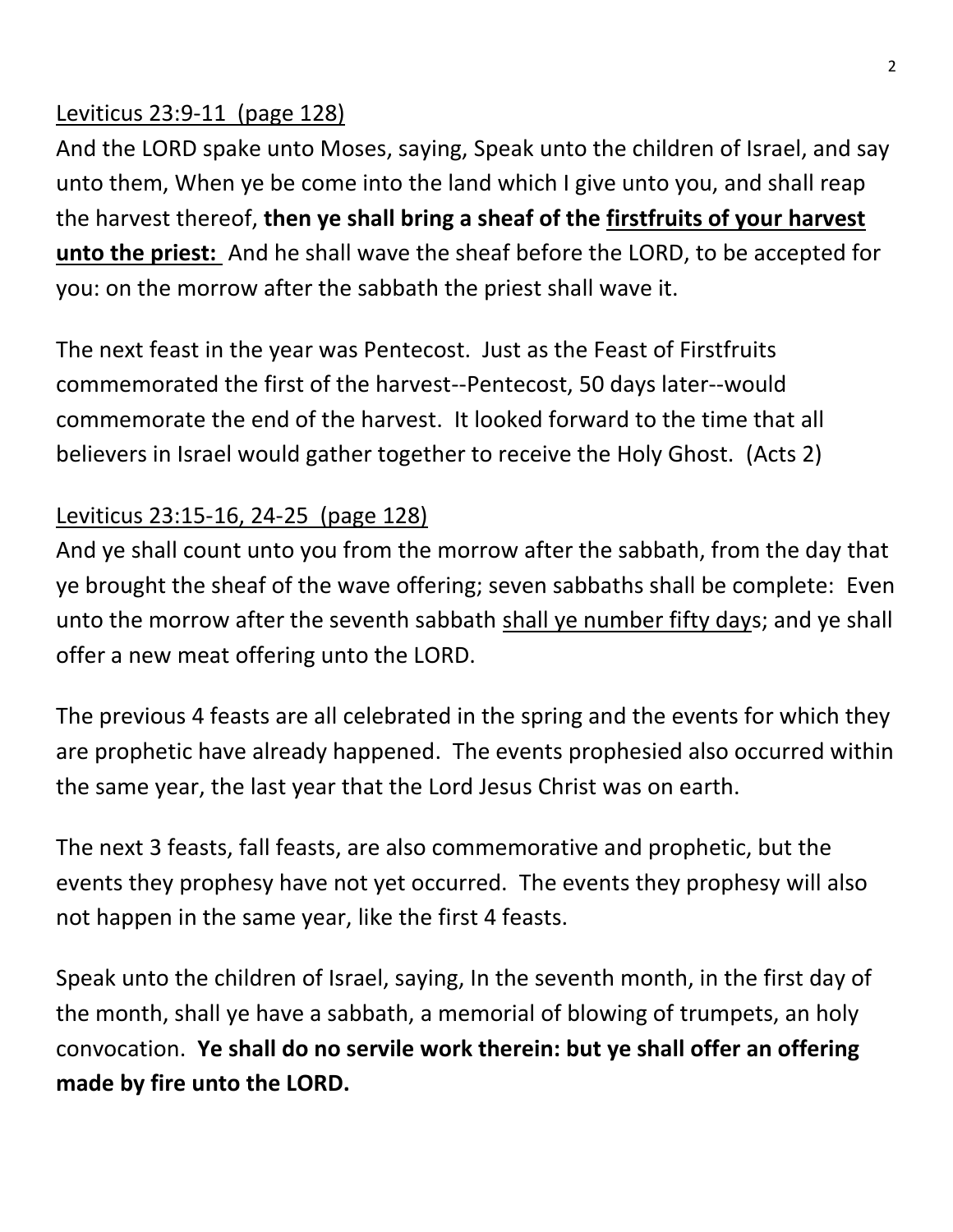#### Leviticus 23:9-11 (page 128)

And the LORD spake unto Moses, saying, Speak unto the children of Israel, and say unto them, When ye be come into the land which I give unto you, and shall reap the harvest thereof, **then ye shall bring a sheaf of the firstfruits of your harvest unto the priest:** And he shall wave the sheaf before the LORD, to be accepted for you: on the morrow after the sabbath the priest shall wave it.

The next feast in the year was Pentecost. Just as the Feast of Firstfruits commemorated the first of the harvest--Pentecost, 50 days later--would commemorate the end of the harvest. It looked forward to the time that all believers in Israel would gather together to receive the Holy Ghost. (Acts 2)

### Leviticus 23:15-16, 24-25 (page 128)

And ye shall count unto you from the morrow after the sabbath, from the day that ye brought the sheaf of the wave offering; seven sabbaths shall be complete: Even unto the morrow after the seventh sabbath shall ye number fifty days; and ye shall offer a new meat offering unto the LORD.

The previous 4 feasts are all celebrated in the spring and the events for which they are prophetic have already happened. The events prophesied also occurred within the same year, the last year that the Lord Jesus Christ was on earth.

The next 3 feasts, fall feasts, are also commemorative and prophetic, but the events they prophesy have not yet occurred. The events they prophesy will also not happen in the same year, like the first 4 feasts.

Speak unto the children of Israel, saying, In the seventh month, in the first day of the month, shall ye have a sabbath, a memorial of blowing of trumpets, an holy convocation. **Ye shall do no servile work therein: but ye shall offer an offering made by fire unto the LORD.**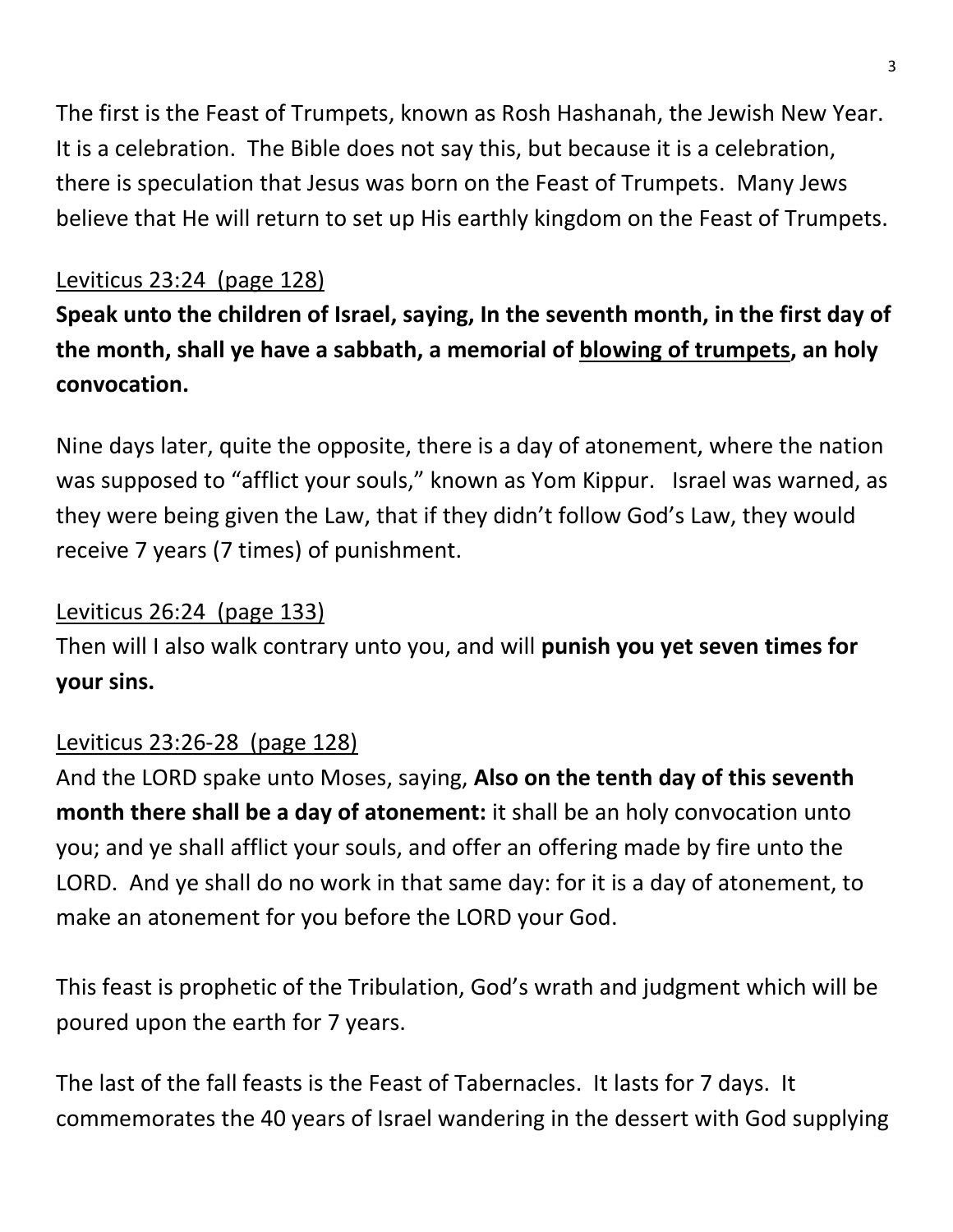The first is the Feast of Trumpets, known as Rosh Hashanah, the Jewish New Year. It is a celebration. The Bible does not say this, but because it is a celebration, there is speculation that Jesus was born on the Feast of Trumpets. Many Jews believe that He will return to set up His earthly kingdom on the Feast of Trumpets.

## Leviticus 23:24 (page 128)

**Speak unto the children of Israel, saying, In the seventh month, in the first day of the month, shall ye have a sabbath, a memorial of blowing of trumpets, an holy convocation.**

Nine days later, quite the opposite, there is a day of atonement, where the nation was supposed to "afflict your souls," known as Yom Kippur. Israel was warned, as they were being given the Law, that if they didn't follow God's Law, they would receive 7 years (7 times) of punishment.

#### Leviticus 26:24 (page 133)

Then will I also walk contrary unto you, and will **punish you yet seven times for your sins.**

#### Leviticus 23:26-28 (page 128)

And the LORD spake unto Moses, saying, **Also on the tenth day of this seventh month there shall be a day of atonement:** it shall be an holy convocation unto you; and ye shall afflict your souls, and offer an offering made by fire unto the LORD. And ye shall do no work in that same day: for it is a day of atonement, to make an atonement for you before the LORD your God.

This feast is prophetic of the Tribulation, God's wrath and judgment which will be poured upon the earth for 7 years.

The last of the fall feasts is the Feast of Tabernacles. It lasts for 7 days. It commemorates the 40 years of Israel wandering in the dessert with God supplying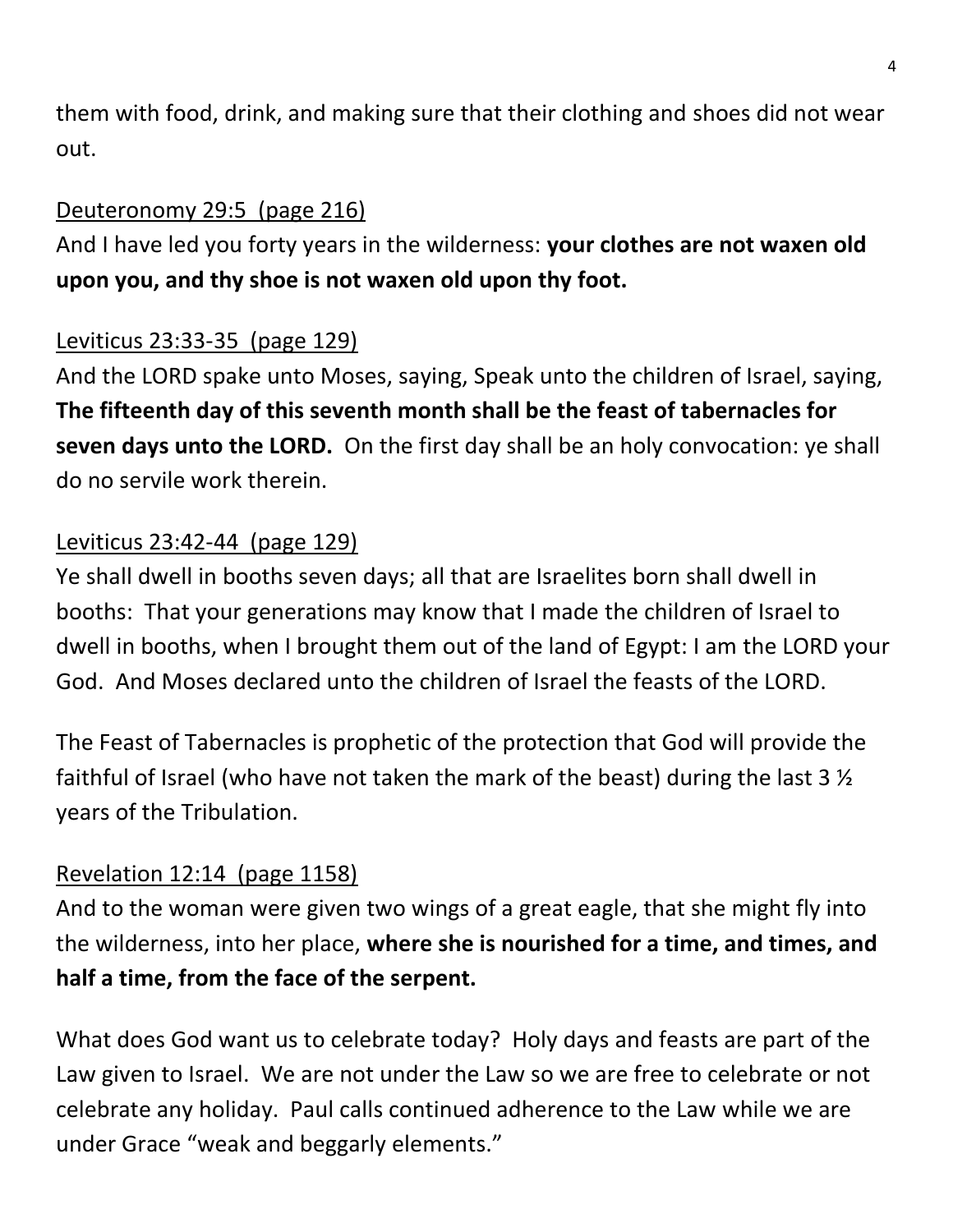them with food, drink, and making sure that their clothing and shoes did not wear out.

## Deuteronomy 29:5 (page 216)

And I have led you forty years in the wilderness: **your clothes are not waxen old upon you, and thy shoe is not waxen old upon thy foot.**

### Leviticus 23:33-35 (page 129)

And the LORD spake unto Moses, saying, Speak unto the children of Israel, saying, **The fifteenth day of this seventh month shall be the feast of tabernacles for seven days unto the LORD.** On the first day shall be an holy convocation: ye shall do no servile work therein.

#### Leviticus 23:42-44 (page 129)

Ye shall dwell in booths seven days; all that are Israelites born shall dwell in booths: That your generations may know that I made the children of Israel to dwell in booths, when I brought them out of the land of Egypt: I am the LORD your God. And Moses declared unto the children of Israel the feasts of the LORD.

The Feast of Tabernacles is prophetic of the protection that God will provide the faithful of Israel (who have not taken the mark of the beast) during the last 3 ½ years of the Tribulation.

#### Revelation 12:14 (page 1158)

And to the woman were given two wings of a great eagle, that she might fly into the wilderness, into her place, **where she is nourished for a time, and times, and half a time, from the face of the serpent.**

What does God want us to celebrate today? Holy days and feasts are part of the Law given to Israel. We are not under the Law so we are free to celebrate or not celebrate any holiday. Paul calls continued adherence to the Law while we are under Grace "weak and beggarly elements."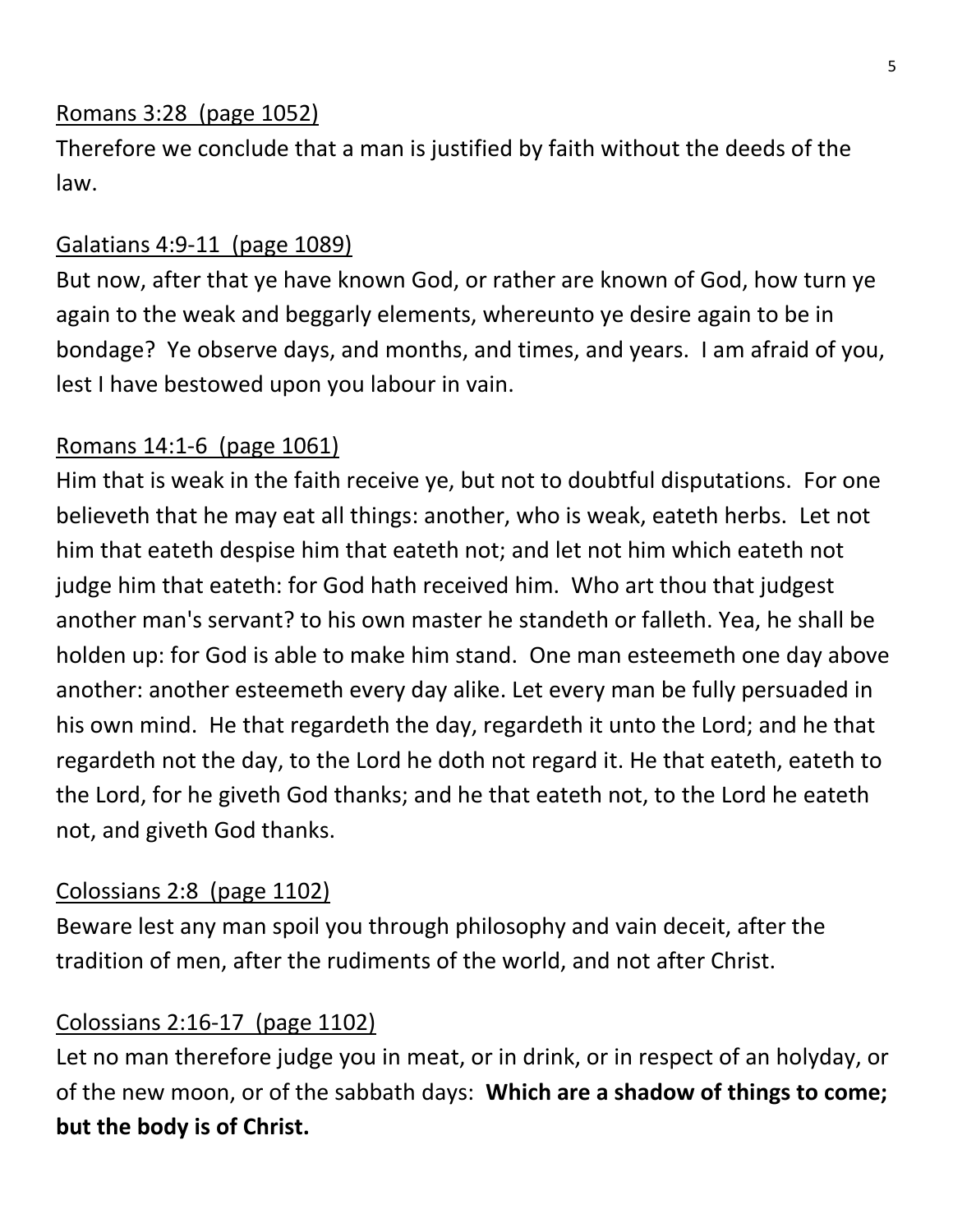#### Romans 3:28 (page 1052)

Therefore we conclude that a man is justified by faith without the deeds of the law.

### Galatians 4:9-11 (page 1089)

But now, after that ye have known God, or rather are known of God, how turn ye again to the weak and beggarly elements, whereunto ye desire again to be in bondage? Ye observe days, and months, and times, and years. I am afraid of you, lest I have bestowed upon you labour in vain.

## Romans 14:1-6 (page 1061)

Him that is weak in the faith receive ye, but not to doubtful disputations. For one believeth that he may eat all things: another, who is weak, eateth herbs. Let not him that eateth despise him that eateth not; and let not him which eateth not judge him that eateth: for God hath received him. Who art thou that judgest another man's servant? to his own master he standeth or falleth. Yea, he shall be holden up: for God is able to make him stand. One man esteemeth one day above another: another esteemeth every day alike. Let every man be fully persuaded in his own mind. He that regardeth the day, regardeth it unto the Lord; and he that regardeth not the day, to the Lord he doth not regard it. He that eateth, eateth to the Lord, for he giveth God thanks; and he that eateth not, to the Lord he eateth not, and giveth God thanks.

## Colossians 2:8 (page 1102)

Beware lest any man spoil you through philosophy and vain deceit, after the tradition of men, after the rudiments of the world, and not after Christ.

## Colossians 2:16-17 (page 1102)

Let no man therefore judge you in meat, or in drink, or in respect of an holyday, or of the new moon, or of the sabbath days: **Which are a shadow of things to come; but the body is of Christ.**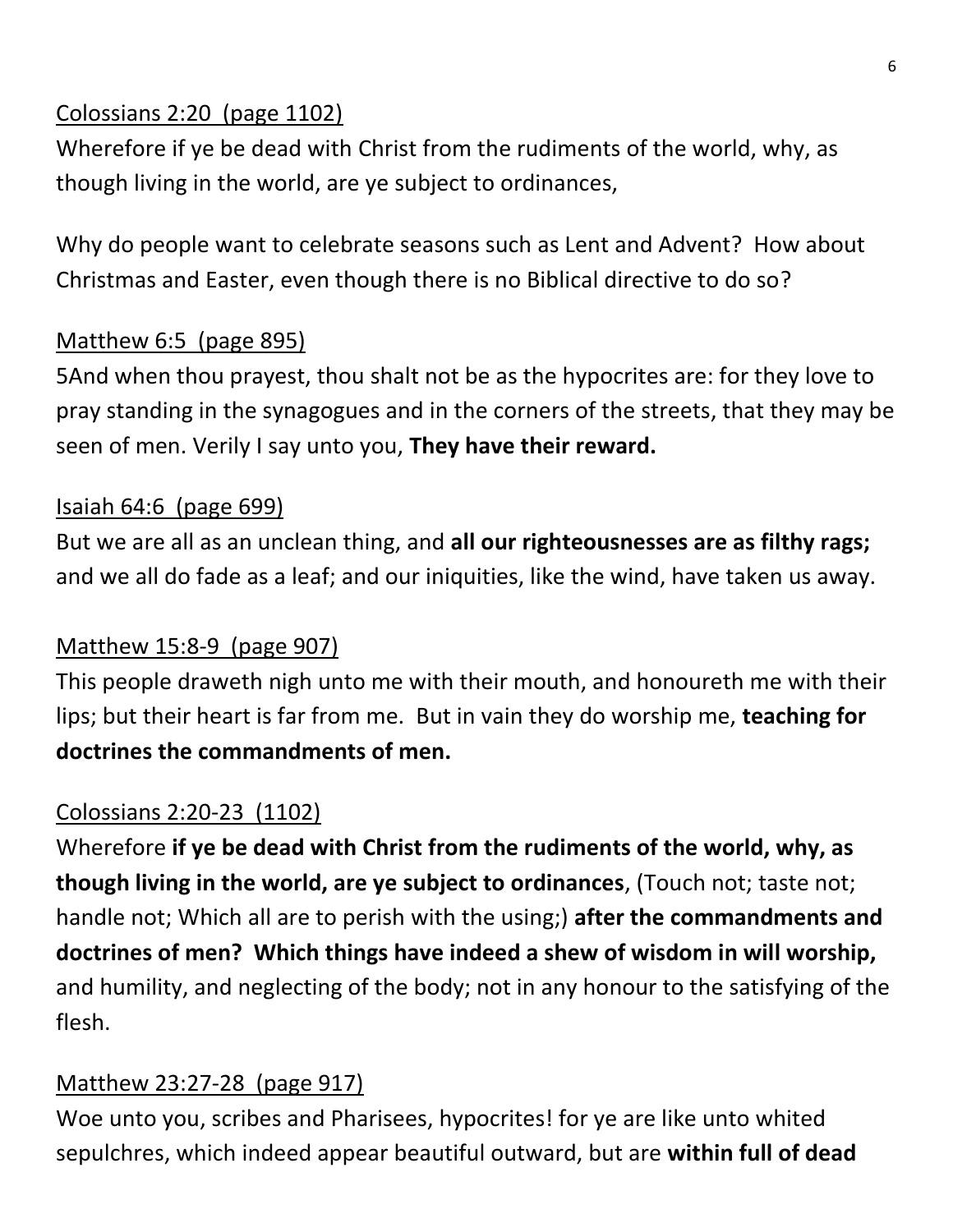#### Colossians 2:20 (page 1102)

Wherefore if ye be dead with Christ from the rudiments of the world, why, as though living in the world, are ye subject to ordinances,

Why do people want to celebrate seasons such as Lent and Advent? How about Christmas and Easter, even though there is no Biblical directive to do so?

# Matthew 6:5 (page 895)

5And when thou prayest, thou shalt not be as the hypocrites are: for they love to pray standing in the synagogues and in the corners of the streets, that they may be seen of men. Verily I say unto you, **They have their reward.**

## Isaiah 64:6 (page 699)

But we are all as an unclean thing, and **all our righteousnesses are as filthy rags;**  and we all do fade as a leaf; and our iniquities, like the wind, have taken us away.

## Matthew 15:8-9 (page 907)

This people draweth nigh unto me with their mouth, and honoureth me with their lips; but their heart is far from me. But in vain they do worship me, **teaching for doctrines the commandments of men.**

# Colossians 2:20-23 (1102)

Wherefore **if ye be dead with Christ from the rudiments of the world, why, as though living in the world, are ye subject to ordinances**, (Touch not; taste not; handle not; Which all are to perish with the using;) **after the commandments and doctrines of men? Which things have indeed a shew of wisdom in will worship,** and humility, and neglecting of the body; not in any honour to the satisfying of the flesh.

# Matthew 23:27-28 (page 917)

Woe unto you, scribes and Pharisees, hypocrites! for ye are like unto whited sepulchres, which indeed appear beautiful outward, but are **within full of dead**